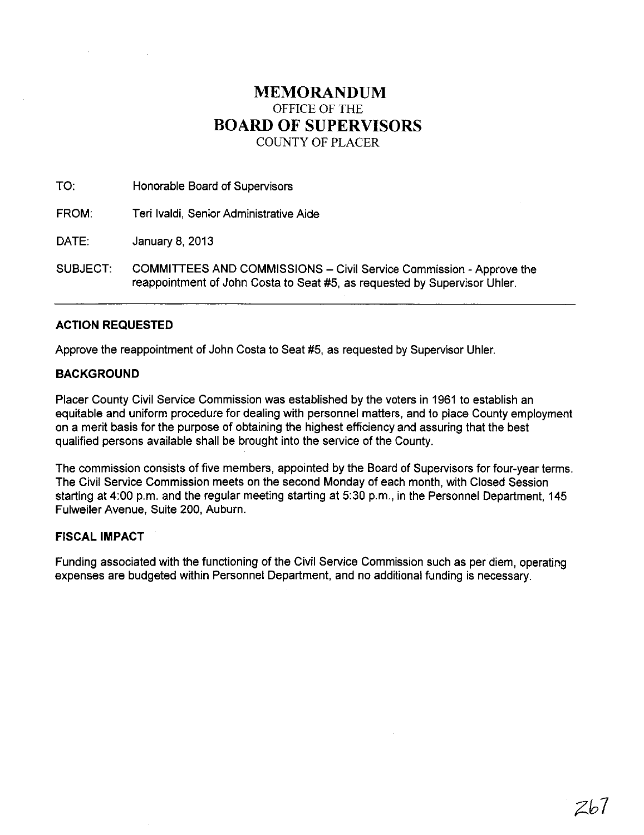# **MEMORANDUM**  OFFICE OF THE **BOARD OF SUPERVISORS**  COUNTY OF PLACER

TO: Honorable Board of Supervisors

FROM: Teri Ivaldi, Senior Administrative Aide

DATE: January 8, 2013

SUBJECT: COMMITTEES AND COMMISSIONS - Civil Service Commission - Approve the reappointment of John Costa to Seat #5, as requested by Supervisor Uhler.

## ACTION **REQUESTED**

Approve the reappointment of John Costa to Seat #5, as requested by Supervisor Uhler.

## **BACKGROUND**

Placer County Civil Service Commission was established by the voters in 1961 to establish an equitable and uniform procedure for dealing with personnel matters, and to place County employment on a merit basis for the purpose of obtaining the highest efficiency and assuring that the best qualified persons available shall be brought into the service of the County.

The commission consists of five members, appointed by the Board of Supervisors for four-year terms. The Civil Service Commission meets on the second Monday of each month, with Closed Session starting at 4:00 p.m. and the regular meeting starting at 5:30 p.m., in the Personnel Department, 145 Fulweiler Avenue, Suite 200, Auburn.

### **FISCAL IMPACT**

Funding associated with the functioning of the Civil Service Commission such as per diem, operating expenses are budgeted within Personnel Department, and no additional funding is necessary.